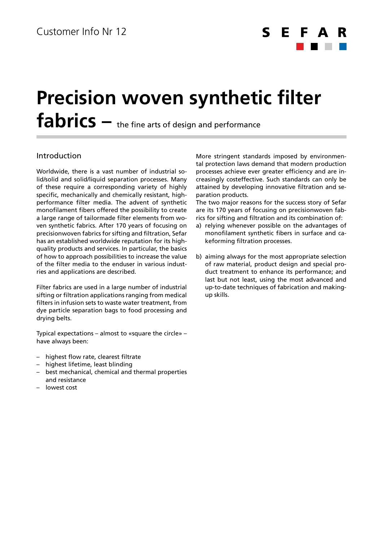

# **Precision woven synthetic filter**  fabrics – the fine arts of design and performance

### Introduction

Worldwide, there is a vast number of industrial solid/solid and solid/liquid separation processes. Many of these require a corresponding variety of highly specific, mechanically and chemically resistant, highperformance filter media. The advent of synthetic monofilament fibers offered the possibility to create a large range of tailormade filter elements from woven synthetic fabrics. After 170 years of focusing on precisionwoven fabrics for sifting and filtration, Sefar has an established worldwide reputation for its highquality products and services. In particular, the basics of how to approach possibilities to increase the value of the filter media to the enduser in various industries and applications are described.

Filter fabrics are used in a large number of industrial sifting or filtration applications ranging from medical filters in infusion sets to waste water treatment, from dye particle separation bags to food processing and drying belts.

Typical expectations – almost to «square the circle» – have always been:

- highest flow rate, clearest filtrate
- highest lifetime, least blinding
- best mechanical, chemical and thermal properties and resistance
- lowest cost

More stringent standards imposed by environmental protection laws demand that modern production processes achieve ever greater efficiency and are increasingly costeffective. Such standards can only be attained by developing innovative filtration and separation products.

The two major reasons for the success story of Sefar are its 170 years of focusing on precisionwoven fabrics for sifting and filtration and its combination of:

- a) relying whenever possible on the advantages of monofilament synthetic fibers in surface and cakeforming filtration processes.
- b) aiming always for the most appropriate selection of raw material, product design and special product treatment to enhance its performance; and last but not least, using the most advanced and up-to-date techniques of fabrication and makingup skills.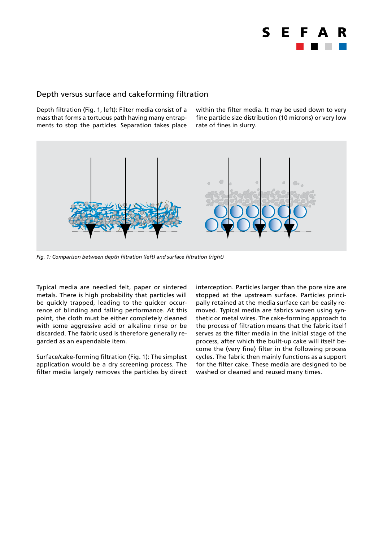

#### Depth versus surface and cakeforming filtration

Depth filtration (Fig. 1, left): Filter media consist of a mass that forms a tortuous path having many entrapments to stop the particles. Separation takes place within the filter media. It may be used down to very fine particle size distribution (10 microns) or very low rate of fines in slurry.



*Fig. 1: Comparison between depth filtration (left) and surface filtration (right)*

Typical media are needled felt, paper or sintered metals. There is high probability that particles will be quickly trapped, leading to the quicker occurrence of blinding and falling performance. At this point, the cloth must be either completely cleaned with some aggressive acid or alkaline rinse or be discarded. The fabric used is therefore generally regarded as an expendable item.

Surface/cake-forming filtration (Fig. 1): The simplest application would be a dry screening process. The filter media largely removes the particles by direct interception. Particles larger than the pore size are stopped at the upstream surface. Particles principally retained at the media surface can be easily removed. Typical media are fabrics woven using synthetic or metal wires. The cake-forming approach to the process of filtration means that the fabric itself serves as the filter media in the initial stage of the process, after which the built-up cake will itself become the (very fine) filter in the following process cycles. The fabric then mainly functions as a support for the filter cake. These media are designed to be washed or cleaned and reused many times.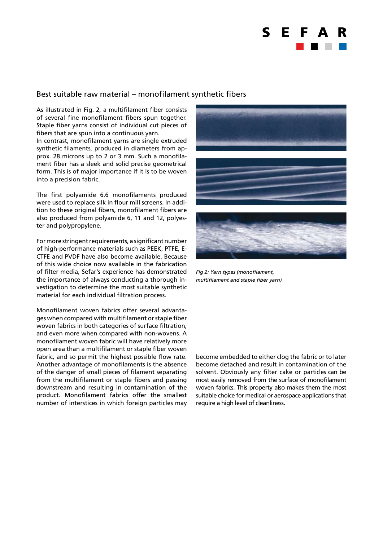

#### Best suitable raw material – monofilament synthetic fibers

As iIIustrated in Fig. 2, a multifilament fiber consists of several fine monofilament fibers spun together. Staple fiber yarns consist of individual cut pieces of fibers that are spun into a continuous yarn.

In contrast, monofilament yarns are single extruded synthetic filaments, produced in diameters from approx. 28 microns up to 2 or 3 mm. Such a monofilament fiber has a sleek and solid precise geometrical form. This is of major importance if it is to be woven into a precision fabric.

The first polyamide 6.6 monofilaments produced were used to replace silk in flour mill screens. In addition to these original fibers, monofilament fibers are also produced from polyamide 6, 11 and 12, polyester and polypropylene.

For more stringent requirements, a significant number of high-performance materials such as PEEK, PTFE, E-CTFE and PVDF have also become available. Because of this wide choice now available in the fabrication of filter media, Sefar's experience has demonstrated the importance of always conducting a thorough investigation to determine the most suitable synthetic material for each individual filtration process.

Monofilament woven fabrics offer several advantages when compared with multifilament or staple fiber woven fabrics in both categories of surface filtration, and even more when compared with non-wovens. A monofilament woven fabric will have relatively more open area than a multifilament or staple fiber woven fabric, and so permit the highest possible flow rate. Another advantage of monofilaments is the absence of the danger of small pieces of filament separating from the multifilament or staple fibers and passing downstream and resulting in contamination of the product. Monofilament fabrics offer the smallest number of interstices in which foreign particles may



*Fig 2: Yarn types (monofilament, multifilament and staple fiber yarn)*

become embedded to either clog the fabric or to later become detached and result in contamination of the solvent. Obviously any filter cake or particles can be most easily removed from the surface of monofilament woven fabrics. This property also makes them the most suitable choice for medical or aerospace applications that require a high level of cleanliness.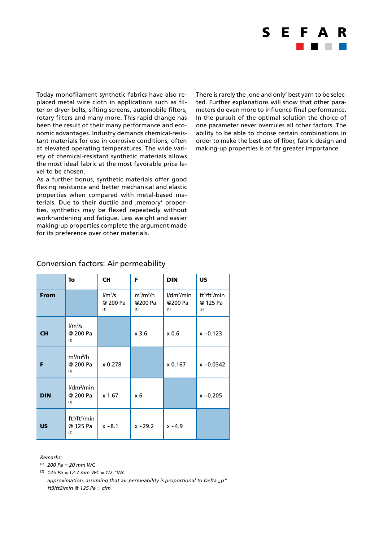

Today monofilament synthetic fabrics have also replaced metal wire cloth in applications such as filter or dryer belts, sifting screens, automobile filters, rotary filters and many more. This rapid change has been the result of their many performance and economic advantages. Industry demands chemical-resistant materials for use in corrosive conditions, often at elevated operating temperatures. The wide variety of chemical-resistant synthetic materials allows the most ideal fabric at the most favorable price level to be chosen.

As a further bonus, synthetic materials offer good flexing resistance and better mechanical and elastic properties when compared with metal-based materials. Due to their ductile and , memory' properties, synthetics may be flexed repeatedly without workhardening and fatigue. Less weight and easier making-up properties complete the argument made for its preference over other materials.

There is rarely the , one and only' best yarn to be selected. Further explanations will show that other parameters do even more to influence final performance. In the pursuit of the optimal solution the choice of one parameter never overrules all other factors. The ability to be able to choose certain combinations in order to make the best use of fiber, fabric design and making-up properties is of far greater importance.

|             | To                                                       | <b>CH</b>                    | F                             | <b>DIN</b>                      | <b>US</b>                                                |
|-------------|----------------------------------------------------------|------------------------------|-------------------------------|---------------------------------|----------------------------------------------------------|
| <b>From</b> |                                                          | $1/m^2/s$<br>@ 200 Pa<br>(1) | $m^3/m^2/h$<br>@200 Pa<br>(1) | $1/dm^2/m$ in<br>@200 Pa<br>(1) | ft <sup>3</sup> /ft <sup>2</sup> /min<br>@ 125 Pa<br>(2) |
| <b>CH</b>   | $1/m^2/s$<br>@ 200 Pa<br>(1)                             |                              | $x$ 3.6                       | x 0.6                           | $x - 0.123$                                              |
| F           | $m^3/m^2/h$<br>@ 200 Pa<br>(1)                           | x 0.278                      |                               | x 0.167                         | $x - 0.0342$                                             |
| <b>DIN</b>  | $1/dm^2/m$ in<br>@ 200 Pa<br>(1)                         | x 1.67                       | x 6                           |                                 | $x - 0.205$                                              |
| <b>US</b>   | ft <sup>3</sup> /ft <sup>2</sup> /min<br>@ 125 Pa<br>(2) | $x - 8.1$                    | $x - 29.2$                    | $x - 4.9$                       |                                                          |

#### Conversion factors: Air permeability

*Remarks:*

*(1) 200 Pa = 20 mm WC*

(2) *125 Pa = 12.7 mm WC = 1/2 "WC*

*approximation, assuming that air permeability is proportional to Delta "p" ft3/ft2/min @ 125 Pa = cfm*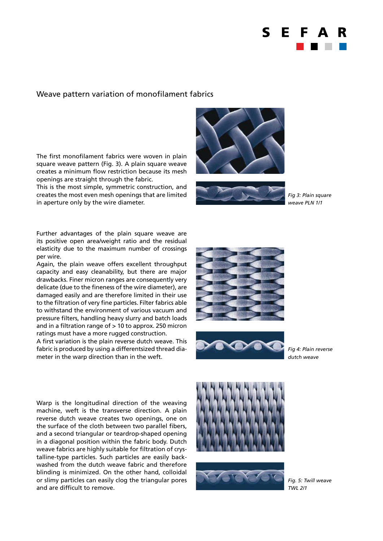

#### Weave pattern variation of monofilament fabrics

The first monofilament fabrics were woven in plain square weave pattern (Fig. 3). A plain square weave creates a minimum flow restriction because its mesh openings are straight through the fabric.

This is the most simple, symmetric construction, and creates the most even mesh openings that are limited in aperture only by the wire diameter.





*Fig 3: Plain square weave PLN 1/1*

Further advantages of the plain square weave are its positive open area/weight ratio and the residual elasticity due to the maximum number of crossings per wire.

Again, the plain weave offers excellent throughput capacity and easy cleanability, but there are major drawbacks. Finer micron ranges are consequently very delicate (due to the fineness of the wire diameter), are damaged easily and are therefore limited in their use to the filtration of very fine particles. Filter fabrics able to withstand the environment of various vacuum and pressure filters, handling heavy slurry and batch loads and in a filtration range of > 10 to approx. 250 micron ratings must have a more rugged construction.

A first variation is the plain reverse dutch weave. This fabric is produced by using a differentsized thread diameter in the warp direction than in the weft.





*Fig 4: Plain reverse dutch weave*

Warp is the longitudinal direction of the weaving machine, weft is the transverse direction. A plain reverse dutch weave creates two openings, one on the surface of the cloth between two parallel fibers, and a second triangular or teardrop-shaped opening in a diagonal position within the fabric body. Dutch weave fabrics are highly suitable for filtration of crystalline-type particles. Such particles are easily backwashed from the dutch weave fabric and therefore blinding is minimized. On the other hand, colloidal or slimy particles can easily clog the triangular pores and are difficult to remove.





*Fig. 5: Twill weave TWL 2/1*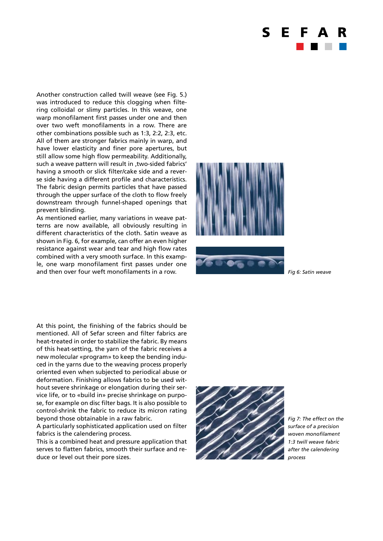

Another construction called twill weave (see Fig. 5.) was introduced to reduce this clogging when filtering colloidal or slimy particles. In this weave, one warp monofilament first passes under one and then over two weft monofilaments in a row. There are other combinations possible such as 1:3, 2:2, 2:3, etc. All of them are stronger fabrics mainly in warp, and have lower elasticity and finer pore apertures, but still allow some high flow permeability. Additionally, such a weave pattern will result in , two-sided fabrics' having a smooth or slick filter/cake side and a reverse side having a different profile and characteristics. The fabric design permits particles that have passed through the upper surface of the cloth to flow freely downstream through funnel-shaped openings that prevent blinding.

As mentioned earlier, many variations in weave patterns are now available, all obviously resulting in different characteristics of the cloth. Satin weave as shown in Fig. 6, for example, can offer an even higher resistance against wear and tear and high flow rates combined with a very smooth surface. In this example, one warp monofilament first passes under one and then over four weft monofilaments in a row. *Fig 6: Satin weave*





At this point, the finishing of the fabrics should be mentioned. All of Sefar screen and filter fabrics are heat-treated in order to stabilize the fabric. By means of this heat-setting, the yarn of the fabric receives a new molecular «program» to keep the bending induced in the yarns due to the weaving process properly oriented even when subjected to periodical abuse or deformation. Finishing allows fabrics to be used without severe shrinkage or elongation during their service life, or to «build in» precise shrinkage on purpose, for example on disc filter bags. It is also possible to control-shrink the fabric to reduce its micron rating beyond those obtainable in a raw fabric.

A particularly sophisticated application used on filter fabrics is the calendering process.

This is a combined heat and pressure application that serves to flatten fabrics, smooth their surface and reduce or level out their pore sizes.



*Fig 7: The effect on the surface of a precision woven monofilament 1:3 twill weave fabric after the calendering process*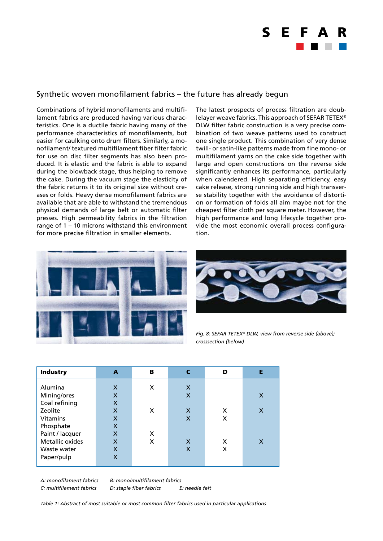## S F

### Synthetic woven monofilament fabrics – the future has already begun

Combinations of hybrid monofilaments and multifilament fabrics are produced having various characteristics. One is a ductile fabric having many of the performance characteristics of monofilaments, but easier for caulking onto drum filters. Similarly, a monofilament/ textured multifilament fiber filter fabric for use on disc filter segments has also been produced. It is elastic and the fabric is able to expand during the blowback stage, thus helping to remove the cake. During the vacuum stage the elasticity of the fabric returns it to its original size without creases or folds. Heavy dense monofilament fabrics are available that are able to withstand the tremendous physical demands of large belt or automatic filter presses. High permeability fabrics in the filtration range of 1 – 10 microns withstand this environment for more precise filtration in smaller elements.

The latest prospects of process filtration are doublelayer weave fabrics. This approach of SEFAR TETEX® DLW filter fabric construction is a very precise combination of two weave patterns used to construct one single product. This combination of very dense twill- or satin-like patterns made from fine mono- or multifilament yarns on the cake side together with large and open constructions on the reverse side significantly enhances its performance, particularly when calendered. High separating efficiency, easy cake release, strong running side and high transverse stability together with the avoidance of distortion or formation of folds all aim maybe not for the cheapest filter cloth per square meter. However, the high performance and long lifecycle together provide the most economic overall process configuration.





*Fig. 8: SEFAR TETEX® DLW, view from reverse side (above); crosssection (below)*

| <b>Industry</b> | A                         | в | $\mathbf c$  | D | Е |
|-----------------|---------------------------|---|--------------|---|---|
|                 |                           |   |              |   |   |
| Alumina         | X                         | X | $\mathsf{x}$ |   |   |
| Mining/ores     | X                         |   | X            |   | X |
| Coal refining   | X                         |   |              |   |   |
| Zeolite         | X                         | X | X            | X | X |
| <b>Vitamins</b> | X                         |   | X            | X |   |
| Phosphate       | X                         |   |              |   |   |
| Paint / lacquer | $\boldsymbol{\mathsf{x}}$ | X |              |   |   |
| Metallic oxides | X                         | X | X            | x | X |
| Waste water     | X                         |   | X            | X |   |
| Paper/pulp      | X                         |   |              |   |   |
|                 |                           |   |              |   |   |
|                 |                           |   |              |   |   |

*A: monofilament fabrics B: mono/multifilament fabrics*

*C: multifilament fabrics D: staple fiber fabrics E: needle felt*

*Table 1: Abstract of most suitable or most common filter fabrics used in particular applications*